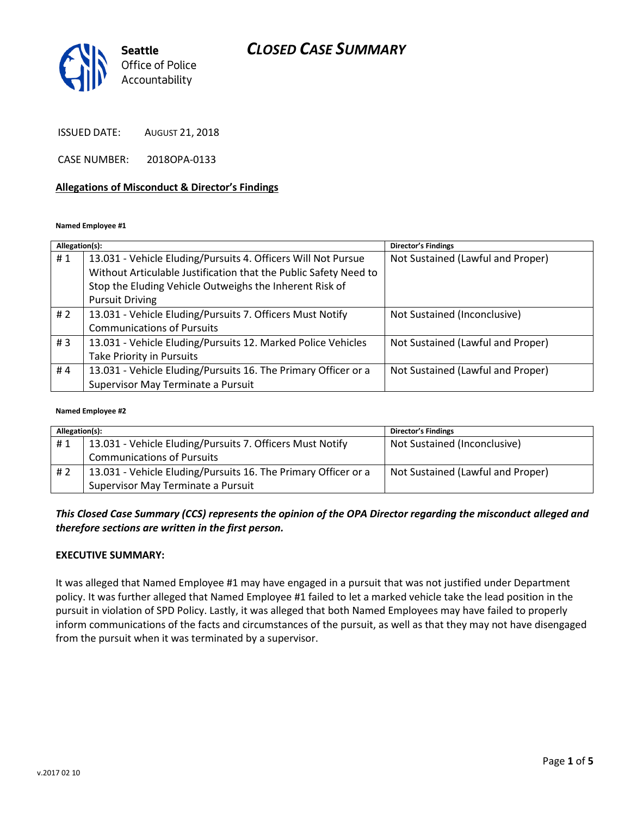## *CLOSED CASE SUMMARY*



ISSUED DATE: AUGUST 21, 2018

CASE NUMBER: 2018OPA-0133

#### **Allegations of Misconduct & Director's Findings**

#### **Named Employee #1**

| Allegation(s): |                                                                  | <b>Director's Findings</b>        |
|----------------|------------------------------------------------------------------|-----------------------------------|
| #1             | 13.031 - Vehicle Eluding/Pursuits 4. Officers Will Not Pursue    | Not Sustained (Lawful and Proper) |
|                | Without Articulable Justification that the Public Safety Need to |                                   |
|                | Stop the Eluding Vehicle Outweighs the Inherent Risk of          |                                   |
|                | <b>Pursuit Driving</b>                                           |                                   |
| #2             | 13.031 - Vehicle Eluding/Pursuits 7. Officers Must Notify        | Not Sustained (Inconclusive)      |
|                | <b>Communications of Pursuits</b>                                |                                   |
| #3             | 13.031 - Vehicle Eluding/Pursuits 12. Marked Police Vehicles     | Not Sustained (Lawful and Proper) |
|                | Take Priority in Pursuits                                        |                                   |
| #4             | 13.031 - Vehicle Eluding/Pursuits 16. The Primary Officer or a   | Not Sustained (Lawful and Proper) |
|                | Supervisor May Terminate a Pursuit                               |                                   |

#### **Named Employee #2**

| Allegation(s): |                                                                | <b>Director's Findings</b>        |
|----------------|----------------------------------------------------------------|-----------------------------------|
| #1             | 13.031 - Vehicle Eluding/Pursuits 7. Officers Must Notify      | Not Sustained (Inconclusive)      |
|                | <b>Communications of Pursuits</b>                              |                                   |
| #2             | 13.031 - Vehicle Eluding/Pursuits 16. The Primary Officer or a | Not Sustained (Lawful and Proper) |
|                | Supervisor May Terminate a Pursuit                             |                                   |

*This Closed Case Summary (CCS) represents the opinion of the OPA Director regarding the misconduct alleged and therefore sections are written in the first person.* 

#### **EXECUTIVE SUMMARY:**

It was alleged that Named Employee #1 may have engaged in a pursuit that was not justified under Department policy. It was further alleged that Named Employee #1 failed to let a marked vehicle take the lead position in the pursuit in violation of SPD Policy. Lastly, it was alleged that both Named Employees may have failed to properly inform communications of the facts and circumstances of the pursuit, as well as that they may not have disengaged from the pursuit when it was terminated by a supervisor.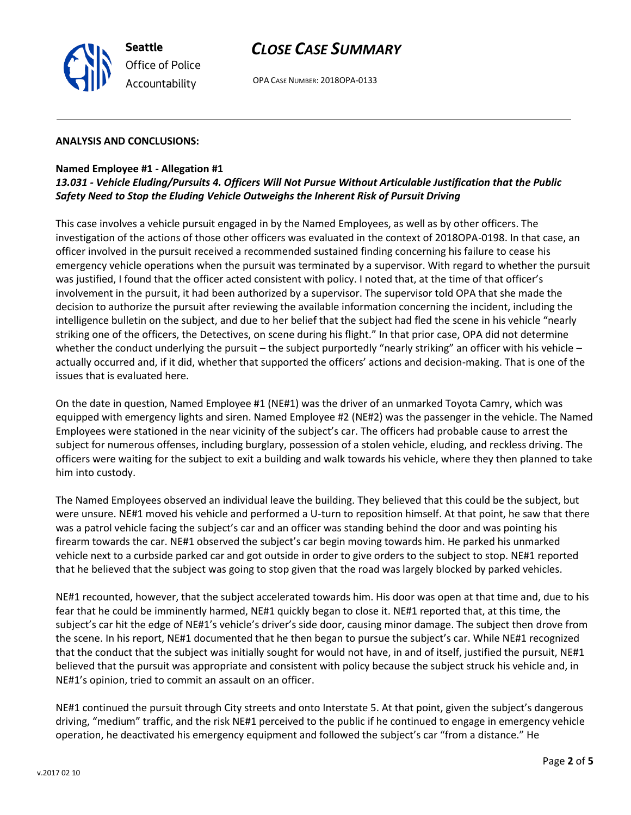

## *CLOSE CASE SUMMARY*

OPA CASE NUMBER: 2018OPA-0133

### **ANALYSIS AND CONCLUSIONS:**

### **Named Employee #1 - Allegation #1**

### *13.031 - Vehicle Eluding/Pursuits 4. Officers Will Not Pursue Without Articulable Justification that the Public Safety Need to Stop the Eluding Vehicle Outweighs the Inherent Risk of Pursuit Driving*

This case involves a vehicle pursuit engaged in by the Named Employees, as well as by other officers. The investigation of the actions of those other officers was evaluated in the context of 2018OPA-0198. In that case, an officer involved in the pursuit received a recommended sustained finding concerning his failure to cease his emergency vehicle operations when the pursuit was terminated by a supervisor. With regard to whether the pursuit was justified, I found that the officer acted consistent with policy. I noted that, at the time of that officer's involvement in the pursuit, it had been authorized by a supervisor. The supervisor told OPA that she made the decision to authorize the pursuit after reviewing the available information concerning the incident, including the intelligence bulletin on the subject, and due to her belief that the subject had fled the scene in his vehicle "nearly striking one of the officers, the Detectives, on scene during his flight." In that prior case, OPA did not determine whether the conduct underlying the pursuit – the subject purportedly "nearly striking" an officer with his vehicle – actually occurred and, if it did, whether that supported the officers' actions and decision-making. That is one of the issues that is evaluated here.

On the date in question, Named Employee #1 (NE#1) was the driver of an unmarked Toyota Camry, which was equipped with emergency lights and siren. Named Employee #2 (NE#2) was the passenger in the vehicle. The Named Employees were stationed in the near vicinity of the subject's car. The officers had probable cause to arrest the subject for numerous offenses, including burglary, possession of a stolen vehicle, eluding, and reckless driving. The officers were waiting for the subject to exit a building and walk towards his vehicle, where they then planned to take him into custody.

The Named Employees observed an individual leave the building. They believed that this could be the subject, but were unsure. NE#1 moved his vehicle and performed a U-turn to reposition himself. At that point, he saw that there was a patrol vehicle facing the subject's car and an officer was standing behind the door and was pointing his firearm towards the car. NE#1 observed the subject's car begin moving towards him. He parked his unmarked vehicle next to a curbside parked car and got outside in order to give orders to the subject to stop. NE#1 reported that he believed that the subject was going to stop given that the road was largely blocked by parked vehicles.

NE#1 recounted, however, that the subject accelerated towards him. His door was open at that time and, due to his fear that he could be imminently harmed, NE#1 quickly began to close it. NE#1 reported that, at this time, the subject's car hit the edge of NE#1's vehicle's driver's side door, causing minor damage. The subject then drove from the scene. In his report, NE#1 documented that he then began to pursue the subject's car. While NE#1 recognized that the conduct that the subject was initially sought for would not have, in and of itself, justified the pursuit, NE#1 believed that the pursuit was appropriate and consistent with policy because the subject struck his vehicle and, in NE#1's opinion, tried to commit an assault on an officer.

NE#1 continued the pursuit through City streets and onto Interstate 5. At that point, given the subject's dangerous driving, "medium" traffic, and the risk NE#1 perceived to the public if he continued to engage in emergency vehicle operation, he deactivated his emergency equipment and followed the subject's car "from a distance." He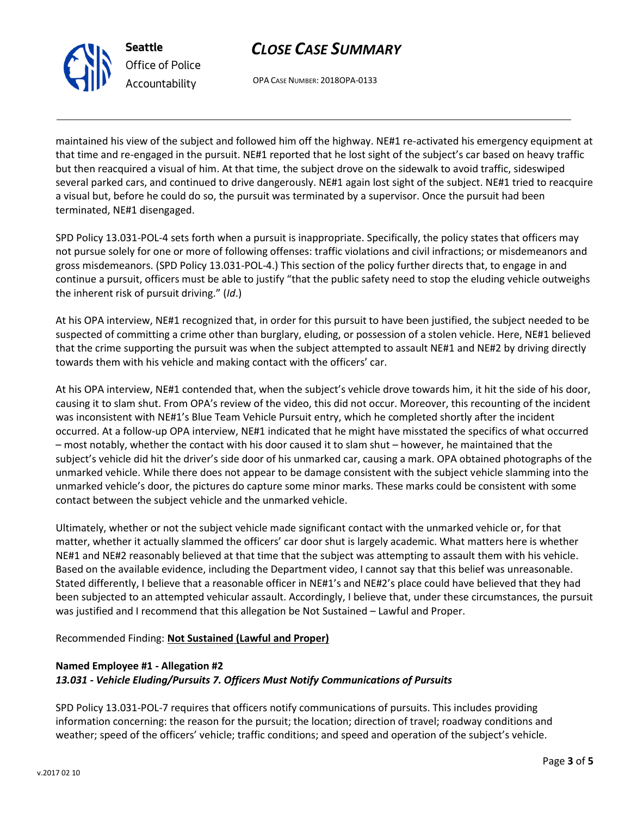

**Seattle** *Office of Police Accountability*

# *CLOSE CASE SUMMARY*

OPA CASE NUMBER: 2018OPA-0133

maintained his view of the subject and followed him off the highway. NE#1 re-activated his emergency equipment at that time and re-engaged in the pursuit. NE#1 reported that he lost sight of the subject's car based on heavy traffic but then reacquired a visual of him. At that time, the subject drove on the sidewalk to avoid traffic, sideswiped several parked cars, and continued to drive dangerously. NE#1 again lost sight of the subject. NE#1 tried to reacquire a visual but, before he could do so, the pursuit was terminated by a supervisor. Once the pursuit had been terminated, NE#1 disengaged.

SPD Policy 13.031-POL-4 sets forth when a pursuit is inappropriate. Specifically, the policy states that officers may not pursue solely for one or more of following offenses: traffic violations and civil infractions; or misdemeanors and gross misdemeanors. (SPD Policy 13.031-POL-4.) This section of the policy further directs that, to engage in and continue a pursuit, officers must be able to justify "that the public safety need to stop the eluding vehicle outweighs the inherent risk of pursuit driving." (*Id*.)

At his OPA interview, NE#1 recognized that, in order for this pursuit to have been justified, the subject needed to be suspected of committing a crime other than burglary, eluding, or possession of a stolen vehicle. Here, NE#1 believed that the crime supporting the pursuit was when the subject attempted to assault NE#1 and NE#2 by driving directly towards them with his vehicle and making contact with the officers' car.

At his OPA interview, NE#1 contended that, when the subject's vehicle drove towards him, it hit the side of his door, causing it to slam shut. From OPA's review of the video, this did not occur. Moreover, this recounting of the incident was inconsistent with NE#1's Blue Team Vehicle Pursuit entry, which he completed shortly after the incident occurred. At a follow-up OPA interview, NE#1 indicated that he might have misstated the specifics of what occurred – most notably, whether the contact with his door caused it to slam shut – however, he maintained that the subject's vehicle did hit the driver's side door of his unmarked car, causing a mark. OPA obtained photographs of the unmarked vehicle. While there does not appear to be damage consistent with the subject vehicle slamming into the unmarked vehicle's door, the pictures do capture some minor marks. These marks could be consistent with some contact between the subject vehicle and the unmarked vehicle.

Ultimately, whether or not the subject vehicle made significant contact with the unmarked vehicle or, for that matter, whether it actually slammed the officers' car door shut is largely academic. What matters here is whether NE#1 and NE#2 reasonably believed at that time that the subject was attempting to assault them with his vehicle. Based on the available evidence, including the Department video, I cannot say that this belief was unreasonable. Stated differently, I believe that a reasonable officer in NE#1's and NE#2's place could have believed that they had been subjected to an attempted vehicular assault. Accordingly, I believe that, under these circumstances, the pursuit was justified and I recommend that this allegation be Not Sustained – Lawful and Proper.

Recommended Finding: **Not Sustained (Lawful and Proper)**

## **Named Employee #1 - Allegation #2** *13.031 - Vehicle Eluding/Pursuits 7. Officers Must Notify Communications of Pursuits*

SPD Policy 13.031-POL-7 requires that officers notify communications of pursuits. This includes providing information concerning: the reason for the pursuit; the location; direction of travel; roadway conditions and weather; speed of the officers' vehicle; traffic conditions; and speed and operation of the subject's vehicle.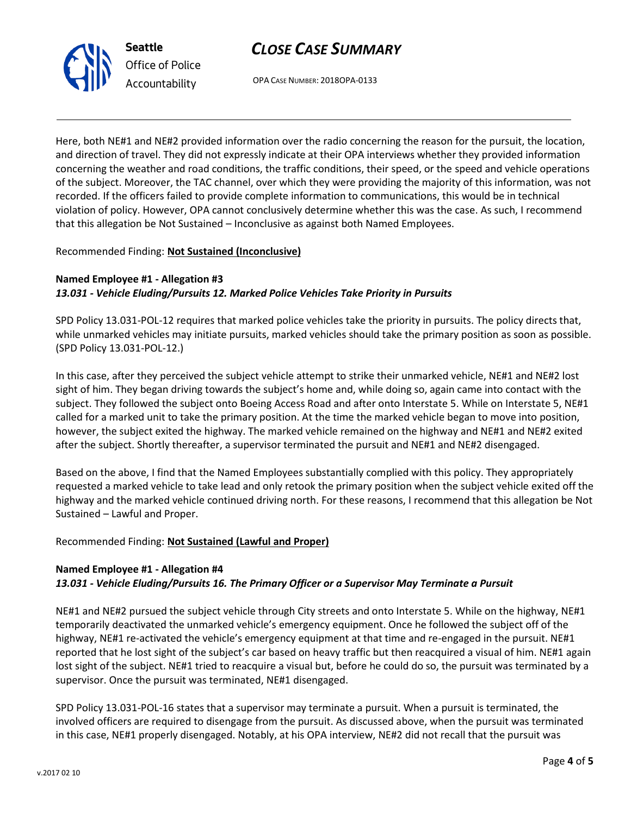# *CLOSE CASE SUMMARY*



OPA CASE NUMBER: 2018OPA-0133

Here, both NE#1 and NE#2 provided information over the radio concerning the reason for the pursuit, the location, and direction of travel. They did not expressly indicate at their OPA interviews whether they provided information concerning the weather and road conditions, the traffic conditions, their speed, or the speed and vehicle operations of the subject. Moreover, the TAC channel, over which they were providing the majority of this information, was not recorded. If the officers failed to provide complete information to communications, this would be in technical violation of policy. However, OPA cannot conclusively determine whether this was the case. As such, I recommend that this allegation be Not Sustained – Inconclusive as against both Named Employees.

### Recommended Finding: **Not Sustained (Inconclusive)**

## **Named Employee #1 - Allegation #3** *13.031 - Vehicle Eluding/Pursuits 12. Marked Police Vehicles Take Priority in Pursuits*

SPD Policy 13.031-POL-12 requires that marked police vehicles take the priority in pursuits. The policy directs that, while unmarked vehicles may initiate pursuits, marked vehicles should take the primary position as soon as possible. (SPD Policy 13.031-POL-12.)

In this case, after they perceived the subject vehicle attempt to strike their unmarked vehicle, NE#1 and NE#2 lost sight of him. They began driving towards the subject's home and, while doing so, again came into contact with the subject. They followed the subject onto Boeing Access Road and after onto Interstate 5. While on Interstate 5, NE#1 called for a marked unit to take the primary position. At the time the marked vehicle began to move into position, however, the subject exited the highway. The marked vehicle remained on the highway and NE#1 and NE#2 exited after the subject. Shortly thereafter, a supervisor terminated the pursuit and NE#1 and NE#2 disengaged.

Based on the above, I find that the Named Employees substantially complied with this policy. They appropriately requested a marked vehicle to take lead and only retook the primary position when the subject vehicle exited off the highway and the marked vehicle continued driving north. For these reasons, I recommend that this allegation be Not Sustained – Lawful and Proper.

### Recommended Finding: **Not Sustained (Lawful and Proper)**

### **Named Employee #1 - Allegation #4**

## *13.031 - Vehicle Eluding/Pursuits 16. The Primary Officer or a Supervisor May Terminate a Pursuit*

NE#1 and NE#2 pursued the subject vehicle through City streets and onto Interstate 5. While on the highway, NE#1 temporarily deactivated the unmarked vehicle's emergency equipment. Once he followed the subject off of the highway, NE#1 re-activated the vehicle's emergency equipment at that time and re-engaged in the pursuit. NE#1 reported that he lost sight of the subject's car based on heavy traffic but then reacquired a visual of him. NE#1 again lost sight of the subject. NE#1 tried to reacquire a visual but, before he could do so, the pursuit was terminated by a supervisor. Once the pursuit was terminated, NE#1 disengaged.

SPD Policy 13.031-POL-16 states that a supervisor may terminate a pursuit. When a pursuit is terminated, the involved officers are required to disengage from the pursuit. As discussed above, when the pursuit was terminated in this case, NE#1 properly disengaged. Notably, at his OPA interview, NE#2 did not recall that the pursuit was